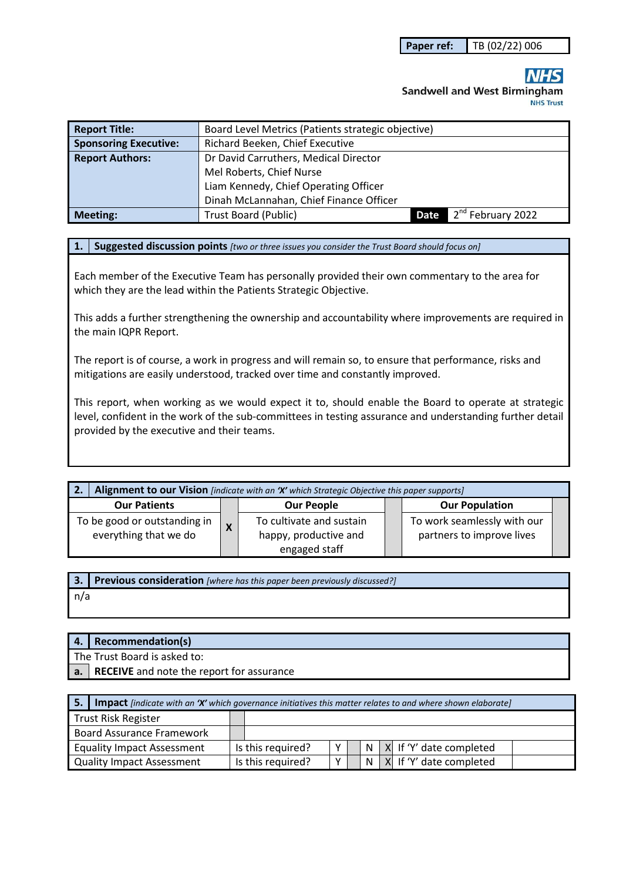# **Sandwell and West Birmingham NHS Trust**

| <b>Report Title:</b>         | Board Level Metrics (Patients strategic objective) |      |                               |  |  |
|------------------------------|----------------------------------------------------|------|-------------------------------|--|--|
| <b>Sponsoring Executive:</b> | Richard Beeken, Chief Executive                    |      |                               |  |  |
| <b>Report Authors:</b>       | Dr David Carruthers, Medical Director              |      |                               |  |  |
|                              | Mel Roberts, Chief Nurse                           |      |                               |  |  |
|                              | Liam Kennedy, Chief Operating Officer              |      |                               |  |  |
|                              | Dinah McLannahan, Chief Finance Officer            |      |                               |  |  |
| Meeting:                     | Trust Board (Public)                               | Date | 2 <sup>nd</sup> February 2022 |  |  |

#### **1. Suggested discussion points** *[two or three issues you consider the Trust Board should focus on]*

Each member of the Executive Team has personally provided their own commentary to the area for which they are the lead within the Patients Strategic Objective.

This adds a further strengthening the ownership and accountability where improvements are required in the main IQPR Report.

The report is of course, a work in progress and will remain so, to ensure that performance, risks and mitigations are easily understood, tracked over time and constantly improved.

This report, when working as we would expect it to, should enable the Board to operate at strategic level, confident in the work of the sub-committees in testing assurance and understanding further detail provided by the executive and their teams.

| Alignment to our Vision [indicate with an 'X' which Strategic Objective this paper supports]<br>2. |                         |                                                                    |  |                                                          |  |
|----------------------------------------------------------------------------------------------------|-------------------------|--------------------------------------------------------------------|--|----------------------------------------------------------|--|
| <b>Our Patients</b>                                                                                |                         | <b>Our People</b>                                                  |  | <b>Our Population</b>                                    |  |
| To be good or outstanding in<br>everything that we do                                              | $\overline{\mathsf{x}}$ | To cultivate and sustain<br>happy, productive and<br>engaged staff |  | To work seamlessly with our<br>partners to improve lives |  |

**3. Previous consideration** *[where has this paper been previously discussed?]* n/a

| 4. Recommendation(s)                         |
|----------------------------------------------|
| The Trust Board is asked to:                 |
| a. RECEIVE and note the report for assurance |

| -5. | <b>Impact</b> findicate with an 'X' which governance initiatives this matter relates to and where shown elaborate |                   |             |    |                         |
|-----|-------------------------------------------------------------------------------------------------------------------|-------------------|-------------|----|-------------------------|
|     | <b>Trust Risk Register</b>                                                                                        |                   |             |    |                         |
|     | <b>Board Assurance Framework</b>                                                                                  |                   |             |    |                         |
|     | <b>Equality Impact Assessment</b>                                                                                 | Is this required? | $\mathbf v$ | N. | X If 'Y' date completed |
|     | <b>Quality Impact Assessment</b>                                                                                  | Is this required? | v           |    | X If 'Y' date completed |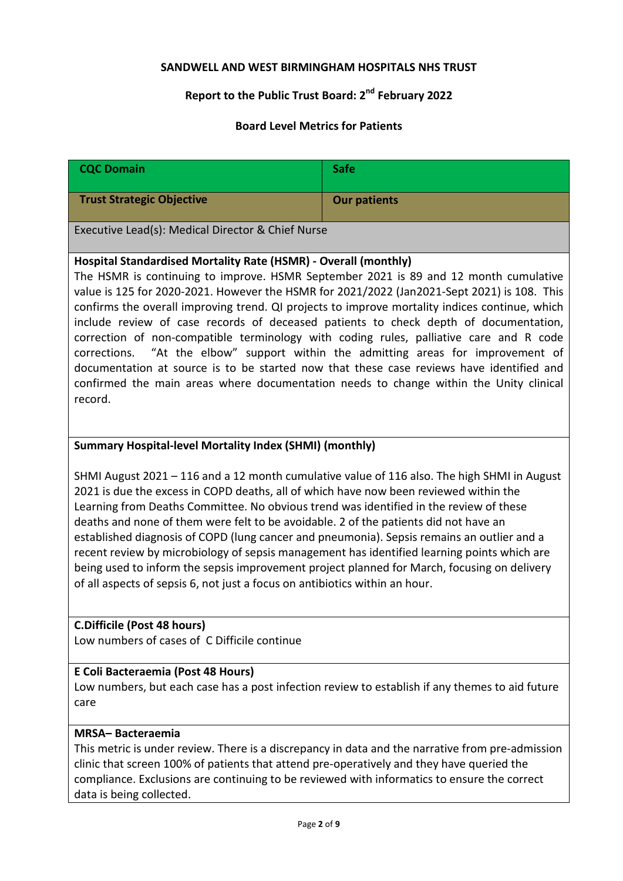# **SANDWELL AND WEST BIRMINGHAM HOSPITALS NHS TRUST**

# **Report to the Public Trust Board: 2nd February 2022**

## **Board Level Metrics for Patients**

| <b>CQC Domain</b>                                                                                                                                                                                                                                                                                                                                                                                                                                                                                                                                                                                                                                                                                                                                                                                                                   | <b>Safe</b>         |  |
|-------------------------------------------------------------------------------------------------------------------------------------------------------------------------------------------------------------------------------------------------------------------------------------------------------------------------------------------------------------------------------------------------------------------------------------------------------------------------------------------------------------------------------------------------------------------------------------------------------------------------------------------------------------------------------------------------------------------------------------------------------------------------------------------------------------------------------------|---------------------|--|
| <b>Trust Strategic Objective</b>                                                                                                                                                                                                                                                                                                                                                                                                                                                                                                                                                                                                                                                                                                                                                                                                    | <b>Our patients</b> |  |
| Executive Lead(s): Medical Director & Chief Nurse                                                                                                                                                                                                                                                                                                                                                                                                                                                                                                                                                                                                                                                                                                                                                                                   |                     |  |
| Hospital Standardised Mortality Rate (HSMR) - Overall (monthly)<br>The HSMR is continuing to improve. HSMR September 2021 is 89 and 12 month cumulative<br>value is 125 for 2020-2021. However the HSMR for 2021/2022 (Jan2021-Sept 2021) is 108. This<br>confirms the overall improving trend. QI projects to improve mortality indices continue, which<br>include review of case records of deceased patients to check depth of documentation,<br>correction of non-compatible terminology with coding rules, palliative care and R code<br>"At the elbow" support within the admitting areas for improvement of<br>corrections.<br>documentation at source is to be started now that these case reviews have identified and<br>confirmed the main areas where documentation needs to change within the Unity clinical<br>record. |                     |  |
| <b>Summary Hospital-level Mortality Index (SHMI) (monthly)</b>                                                                                                                                                                                                                                                                                                                                                                                                                                                                                                                                                                                                                                                                                                                                                                      |                     |  |
| SHMI August 2021 - 116 and a 12 month cumulative value of 116 also. The high SHMI in August<br>2021 is due the excess in COPD deaths, all of which have now been reviewed within the<br>Learning from Deaths Committee. No obvious trend was identified in the review of these<br>deaths and none of them were felt to be avoidable. 2 of the patients did not have an<br>established diagnosis of COPD (lung cancer and pneumonia). Sepsis remains an outlier and a<br>recent review by microbiology of sepsis management has identified learning points which are<br>being used to inform the sepsis improvement project planned for March, focusing on delivery<br>of all aspects of sepsis 6, not just a focus on antibiotics within an hour.                                                                                   |                     |  |
| <b>C.Difficile (Post 48 hours)</b><br>Low numbers of cases of C Difficile continue                                                                                                                                                                                                                                                                                                                                                                                                                                                                                                                                                                                                                                                                                                                                                  |                     |  |
| E Coli Bacteraemia (Post 48 Hours)<br>Low numbers, but each case has a post infection review to establish if any themes to aid future<br>care                                                                                                                                                                                                                                                                                                                                                                                                                                                                                                                                                                                                                                                                                       |                     |  |
| <b>MRSA-Bacteraemia</b><br>This metric is under review. There is a discrepancy in data and the narrative from pre-admission<br>clinic that screen 100% of patients that attend pre-operatively and they have queried the<br>compliance. Exclusions are continuing to be reviewed with informatics to ensure the correct<br>data is being collected.                                                                                                                                                                                                                                                                                                                                                                                                                                                                                 |                     |  |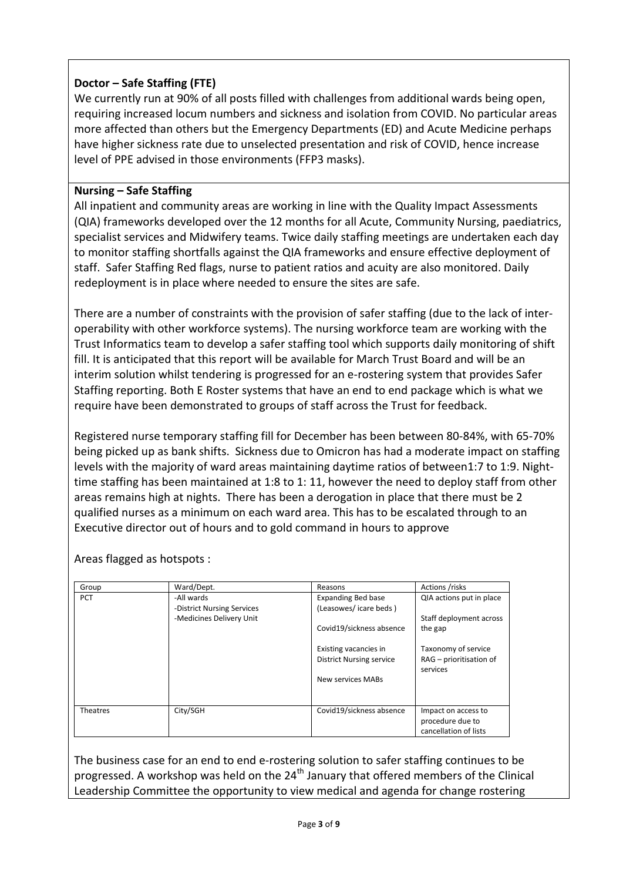### **Doctor – Safe Staffing (FTE)**

We currently run at 90% of all posts filled with challenges from additional wards being open, requiring increased locum numbers and sickness and isolation from COVID. No particular areas more affected than others but the Emergency Departments (ED) and Acute Medicine perhaps have higher sickness rate due to unselected presentation and risk of COVID, hence increase level of PPE advised in those environments (FFP3 masks).

#### **Nursing – Safe Staffing**

All inpatient and community areas are working in line with the Quality Impact Assessments (QIA) frameworks developed over the 12 months for all Acute, Community Nursing, paediatrics, specialist services and Midwifery teams. Twice daily staffing meetings are undertaken each day to monitor staffing shortfalls against the QIA frameworks and ensure effective deployment of staff. Safer Staffing Red flags, nurse to patient ratios and acuity are also monitored. Daily redeployment is in place where needed to ensure the sites are safe.

There are a number of constraints with the provision of safer staffing (due to the lack of interoperability with other workforce systems). The nursing workforce team are working with the Trust Informatics team to develop a safer staffing tool which supports daily monitoring of shift fill. It is anticipated that this report will be available for March Trust Board and will be an interim solution whilst tendering is progressed for an e-rostering system that provides Safer Staffing reporting. Both E Roster systems that have an end to end package which is what we require have been demonstrated to groups of staff across the Trust for feedback.

Registered nurse temporary staffing fill for December has been between 80-84%, with 65-70% being picked up as bank shifts. Sickness due to Omicron has had a moderate impact on staffing levels with the majority of ward areas maintaining daytime ratios of between1:7 to 1:9. Nighttime staffing has been maintained at 1:8 to 1: 11, however the need to deploy staff from other areas remains high at nights. There has been a derogation in place that there must be 2 qualified nurses as a minimum on each ward area. This has to be escalated through to an Executive director out of hours and to gold command in hours to approve

Areas flagged as hotspots :

| Group      | Ward/Dept.                               | Reasons                                                                       | Actions /risks                                                   |  |
|------------|------------------------------------------|-------------------------------------------------------------------------------|------------------------------------------------------------------|--|
| <b>PCT</b> | -All wards<br>-District Nursing Services | <b>Expanding Bed base</b><br>(Leasowes/icare beds)                            | QIA actions put in place                                         |  |
|            | -Medicines Delivery Unit                 | Covid19/sickness absence                                                      | Staff deployment across<br>the gap                               |  |
|            |                                          | Existing vacancies in<br><b>District Nursing service</b><br>New services MABs | Taxonomy of service<br>RAG - prioritisation of<br>services       |  |
| Theatres   | City/SGH                                 | Covid19/sickness absence                                                      | Impact on access to<br>procedure due to<br>cancellation of lists |  |

The business case for an end to end e-rostering solution to safer staffing continues to be progressed. A workshop was held on the  $24<sup>th</sup>$  January that offered members of the Clinical Leadership Committee the opportunity to view medical and agenda for change rostering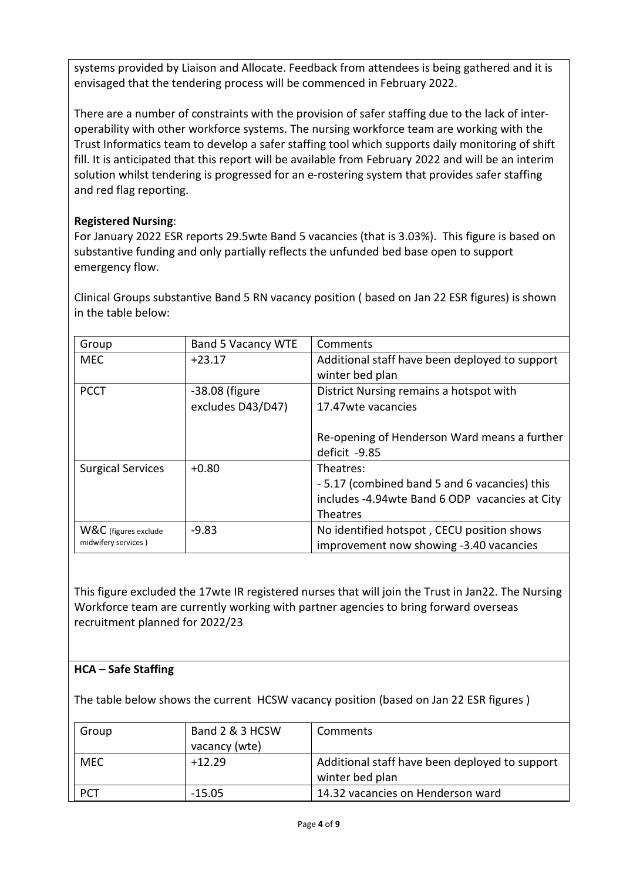systems provided by Liaison and Allocate. Feedback from attendees is being gathered and it is envisaged that the tendering process will be commenced in February 2022.

There are a number of constraints with the provision of safer staffing due to the lack of interoperability with other workforce systems. The nursing workforce team are working with the Trust Informatics team to develop a safer staffing tool which supports daily monitoring of shift fill. It is anticipated that this report will be available from February 2022 and will be an interim solution whilst tendering is progressed for an e-rostering system that provides safer staffing and red flag reporting.

## **Registered Nursing**:

For January 2022 ESR reports 29.5wte Band 5 vacancies (that is 3.03%). This figure is based on substantive funding and only partially reflects the unfunded bed base open to support emergency flow.

Clinical Groups substantive Band 5 RN vacancy position ( based on Jan 22 ESR figures) is shown in the table below:

| Group                    | <b>Band 5 Vacancy WTE</b> | Comments                                        |
|--------------------------|---------------------------|-------------------------------------------------|
| <b>MEC</b>               | $+23.17$                  | Additional staff have been deployed to support  |
|                          |                           | winter bed plan                                 |
| <b>PCCT</b>              | -38.08 (figure            | District Nursing remains a hotspot with         |
|                          | excludes D43/D47)         | 17.47 wte vacancies                             |
|                          |                           |                                                 |
|                          |                           | Re-opening of Henderson Ward means a further    |
|                          |                           | deficit -9.85                                   |
| <b>Surgical Services</b> | $+0.80$                   | Theatres:                                       |
|                          |                           | -5.17 (combined band 5 and 6 vacancies) this    |
|                          |                           | includes -4.94 wte Band 6 ODP vacancies at City |
|                          |                           | Theatres                                        |
| W&C (figures exclude     | $-9.83$                   | No identified hotspot, CECU position shows      |
| midwifery services)      |                           | improvement now showing -3.40 vacancies         |

This figure excluded the 17wte IR registered nurses that will join the Trust in Jan22. The Nursing Workforce team are currently working with partner agencies to bring forward overseas recruitment planned for 2022/23

# **HCA – Safe Staffing**

The table below shows the current HCSW vacancy position (based on Jan 22 ESR figures )

| Group      | Band 2 & 3 HCSW | Comments                                                          |
|------------|-----------------|-------------------------------------------------------------------|
|            | vacancy (wte)   |                                                                   |
| <b>MEC</b> | $+12.29$        | Additional staff have been deployed to support<br>winter bed plan |
| <b>PCT</b> | $-15.05$        | 14.32 vacancies on Henderson ward                                 |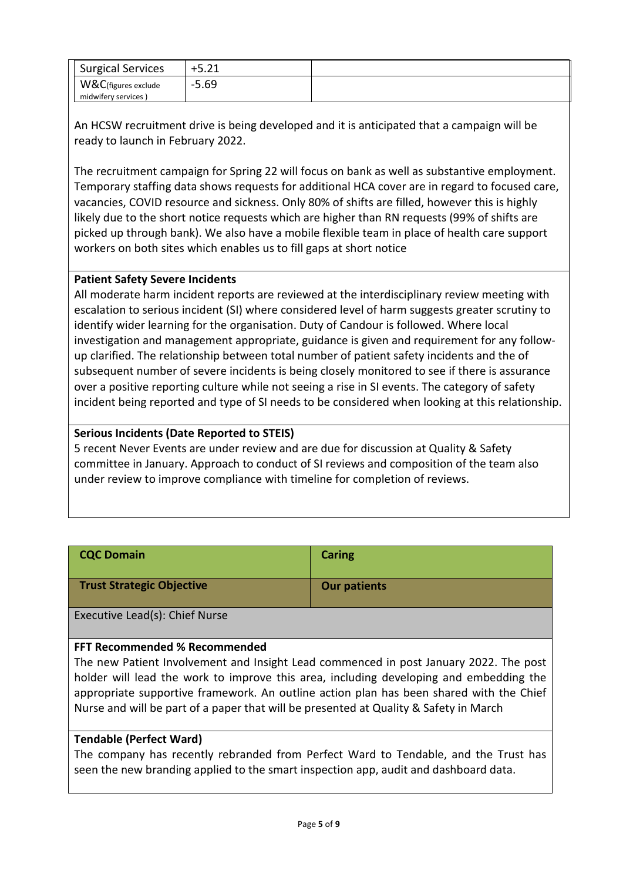| <b>Surgical Services</b> | $+5.21$ |  |
|--------------------------|---------|--|
| W&C(figures exclude      | 5.69    |  |
| midwifery services)      |         |  |

An HCSW recruitment drive is being developed and it is anticipated that a campaign will be ready to launch in February 2022.

The recruitment campaign for Spring 22 will focus on bank as well as substantive employment. Temporary staffing data shows requests for additional HCA cover are in regard to focused care, vacancies, COVID resource and sickness. Only 80% of shifts are filled, however this is highly likely due to the short notice requests which are higher than RN requests (99% of shifts are picked up through bank). We also have a mobile flexible team in place of health care support workers on both sites which enables us to fill gaps at short notice

#### **Patient Safety Severe Incidents**

All moderate harm incident reports are reviewed at the interdisciplinary review meeting with escalation to serious incident (SI) where considered level of harm suggests greater scrutiny to identify wider learning for the organisation. Duty of Candour is followed. Where local investigation and management appropriate, guidance is given and requirement for any followup clarified. The relationship between total number of patient safety incidents and the of subsequent number of severe incidents is being closely monitored to see if there is assurance over a positive reporting culture while not seeing a rise in SI events. The category of safety incident being reported and type of SI needs to be considered when looking at this relationship.

### **Serious Incidents (Date Reported to STEIS)**

5 recent Never Events are under review and are due for discussion at Quality & Safety committee in January. Approach to conduct of SI reviews and composition of the team also under review to improve compliance with timeline for completion of reviews.

| <b>CQC Domain</b>                | Caring              |
|----------------------------------|---------------------|
| <b>Trust Strategic Objective</b> | <b>Our patients</b> |

Executive Lead(s): Chief Nurse

## **FFT Recommended % Recommended**

The new Patient Involvement and Insight Lead commenced in post January 2022. The post holder will lead the work to improve this area, including developing and embedding the appropriate supportive framework. An outline action plan has been shared with the Chief Nurse and will be part of a paper that will be presented at Quality & Safety in March

#### **Tendable (Perfect Ward)**

The company has recently rebranded from Perfect Ward to Tendable, and the Trust has seen the new branding applied to the smart inspection app, audit and dashboard data.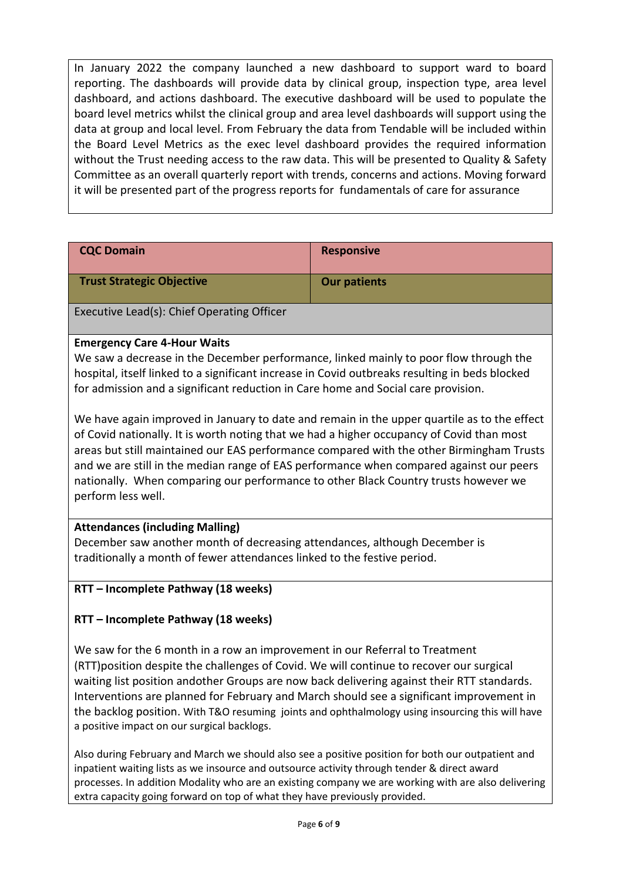In January 2022 the company launched a new dashboard to support ward to board reporting. The dashboards will provide data by clinical group, inspection type, area level dashboard, and actions dashboard. The executive dashboard will be used to populate the board level metrics whilst the clinical group and area level dashboards will support using the data at group and local level. From February the data from Tendable will be included within the Board Level Metrics as the exec level dashboard provides the required information without the Trust needing access to the raw data. This will be presented to Quality & Safety Committee as an overall quarterly report with trends, concerns and actions. Moving forward it will be presented part of the progress reports for fundamentals of care for assurance

| <b>CQC Domain</b>                          | <b>Responsive</b>   |
|--------------------------------------------|---------------------|
| <b>Trust Strategic Objective</b>           | <b>Our patients</b> |
| Executive Lead(s): Chief Operating Officer |                     |

# **Emergency Care 4-Hour Waits**

We saw a decrease in the December performance, linked mainly to poor flow through the hospital, itself linked to a significant increase in Covid outbreaks resulting in beds blocked for admission and a significant reduction in Care home and Social care provision.

We have again improved in January to date and remain in the upper quartile as to the effect of Covid nationally. It is worth noting that we had a higher occupancy of Covid than most areas but still maintained our EAS performance compared with the other Birmingham Trusts and we are still in the median range of EAS performance when compared against our peers nationally. When comparing our performance to other Black Country trusts however we perform less well.

#### **Attendances (including Malling)**

December saw another month of decreasing attendances, although December is traditionally a month of fewer attendances linked to the festive period.

#### **RTT – Incomplete Pathway (18 weeks)**

## **RTT – Incomplete Pathway (18 weeks)**

We saw for the 6 month in a row an improvement in our Referral to Treatment (RTT)position despite the challenges of Covid. We will continue to recover our surgical waiting list position andother Groups are now back delivering against their RTT standards. Interventions are planned for February and March should see a significant improvement in the backlog position. With T&O resuming joints and ophthalmology using insourcing this will have a positive impact on our surgical backlogs.

Also during February and March we should also see a positive position for both our outpatient and inpatient waiting lists as we insource and outsource activity through tender & direct award processes. In addition Modality who are an existing company we are working with are also delivering extra capacity going forward on top of what they have previously provided.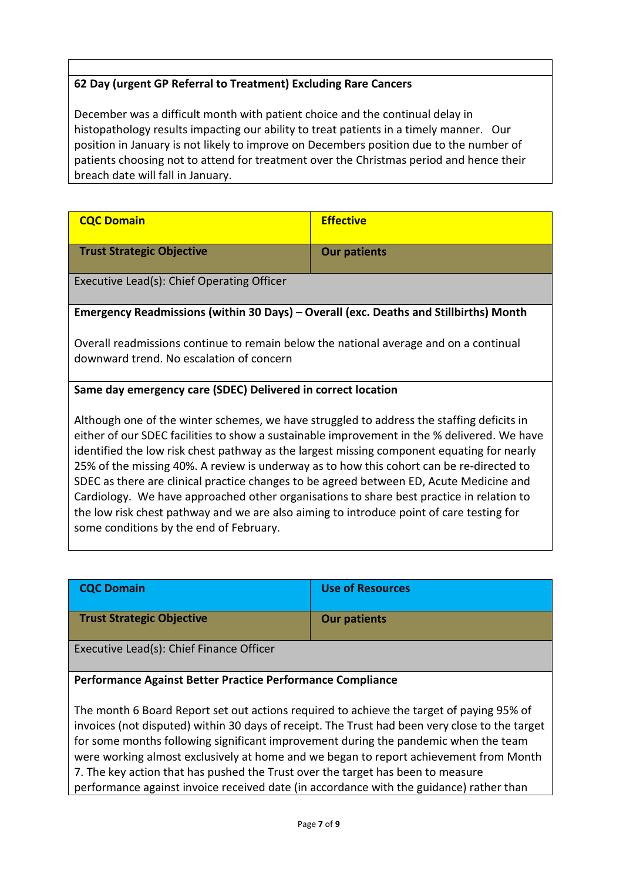## **62 Day (urgent GP Referral to Treatment) Excluding Rare Cancers**

December was a difficult month with patient choice and the continual delay in histopathology results impacting our ability to treat patients in a timely manner. Our position in January is not likely to improve on Decembers position due to the number of patients choosing not to attend for treatment over the Christmas period and hence their breach date will fall in January.

| <b>CQC Domain</b>                                                                                                                                                                                                                                                                                                                                                                                                                                                                                                                                                                                                                                                                                                | <b>Effective</b>    |  |  |
|------------------------------------------------------------------------------------------------------------------------------------------------------------------------------------------------------------------------------------------------------------------------------------------------------------------------------------------------------------------------------------------------------------------------------------------------------------------------------------------------------------------------------------------------------------------------------------------------------------------------------------------------------------------------------------------------------------------|---------------------|--|--|
| <b>Trust Strategic Objective</b>                                                                                                                                                                                                                                                                                                                                                                                                                                                                                                                                                                                                                                                                                 | <b>Our patients</b> |  |  |
| Executive Lead(s): Chief Operating Officer                                                                                                                                                                                                                                                                                                                                                                                                                                                                                                                                                                                                                                                                       |                     |  |  |
| Emergency Readmissions (within 30 Days) – Overall (exc. Deaths and Stillbirths) Month                                                                                                                                                                                                                                                                                                                                                                                                                                                                                                                                                                                                                            |                     |  |  |
| Overall readmissions continue to remain below the national average and on a continual<br>downward trend. No escalation of concern                                                                                                                                                                                                                                                                                                                                                                                                                                                                                                                                                                                |                     |  |  |
| Same day emergency care (SDEC) Delivered in correct location                                                                                                                                                                                                                                                                                                                                                                                                                                                                                                                                                                                                                                                     |                     |  |  |
| Although one of the winter schemes, we have struggled to address the staffing deficits in<br>either of our SDEC facilities to show a sustainable improvement in the % delivered. We have<br>identified the low risk chest pathway as the largest missing component equating for nearly<br>25% of the missing 40%. A review is underway as to how this cohort can be re-directed to<br>SDEC as there are clinical practice changes to be agreed between ED, Acute Medicine and<br>Cardiology. We have approached other organisations to share best practice in relation to<br>the low risk chest pathway and we are also aiming to introduce point of care testing for<br>some conditions by the end of February. |                     |  |  |

| <b>CQC Domain</b>                        | <b>Use of Resources</b> |
|------------------------------------------|-------------------------|
| <b>Trust Strategic Objective</b>         | <b>Our patients</b>     |
| Executive Lead(s): Chief Finance Officer |                         |

#### **Performance Against Better Practice Performance Compliance**

The month 6 Board Report set out actions required to achieve the target of paying 95% of invoices (not disputed) within 30 days of receipt. The Trust had been very close to the target for some months following significant improvement during the pandemic when the team were working almost exclusively at home and we began to report achievement from Month 7. The key action that has pushed the Trust over the target has been to measure performance against invoice received date (in accordance with the guidance) rather than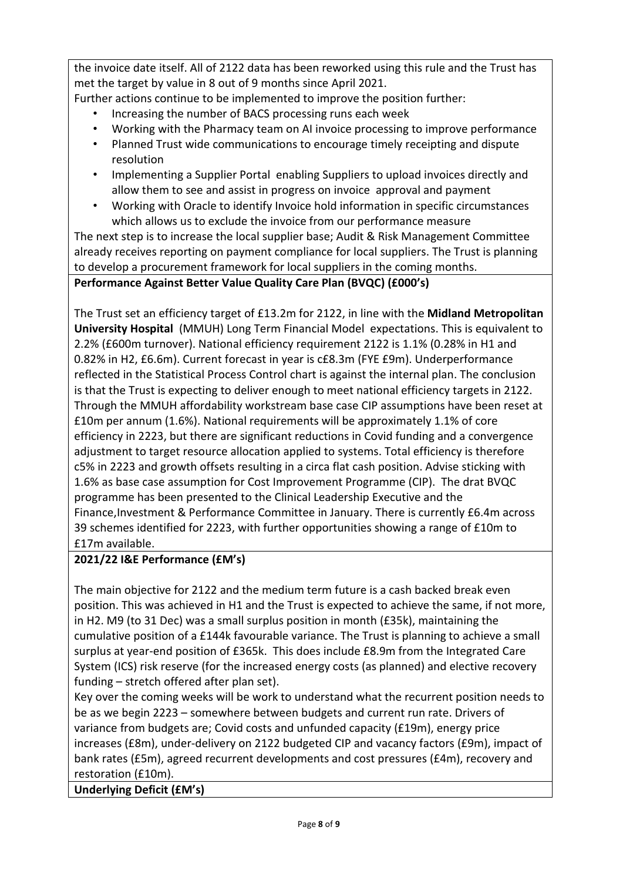the invoice date itself. All of 2122 data has been reworked using this rule and the Trust has met the target by value in 8 out of 9 months since April 2021.

Further actions continue to be implemented to improve the position further:

- Increasing the number of BACS processing runs each week
- Working with the Pharmacy team on AI invoice processing to improve performance
- Planned Trust wide communications to encourage timely receipting and dispute resolution
- Implementing a Supplier Portal enabling Suppliers to upload invoices directly and allow them to see and assist in progress on invoice approval and payment
- Working with Oracle to identify Invoice hold information in specific circumstances which allows us to exclude the invoice from our performance measure

The next step is to increase the local supplier base; Audit & Risk Management Committee already receives reporting on payment compliance for local suppliers. The Trust is planning to develop a procurement framework for local suppliers in the coming months.

**Performance Against Better Value Quality Care Plan (BVQC) (£000's)** 

The Trust set an efficiency target of £13.2m for 2122, in line with the **Midland Metropolitan University Hospital** (MMUH) Long Term Financial Model expectations. This is equivalent to 2.2% (£600m turnover). National efficiency requirement 2122 is 1.1% (0.28% in H1 and 0.82% in H2, £6.6m). Current forecast in year is c£8.3m (FYE £9m). Underperformance reflected in the Statistical Process Control chart is against the internal plan. The conclusion is that the Trust is expecting to deliver enough to meet national efficiency targets in 2122. Through the MMUH affordability workstream base case CIP assumptions have been reset at £10m per annum (1.6%). National requirements will be approximately 1.1% of core efficiency in 2223, but there are significant reductions in Covid funding and a convergence adjustment to target resource allocation applied to systems. Total efficiency is therefore c5% in 2223 and growth offsets resulting in a circa flat cash position. Advise sticking with 1.6% as base case assumption for Cost Improvement Programme (CIP). The drat BVQC programme has been presented to the Clinical Leadership Executive and the Finance,Investment & Performance Committee in January. There is currently £6.4m across 39 schemes identified for 2223, with further opportunities showing a range of £10m to £17m available.

# **2021/22 I&E Performance (£M's)**

The main objective for 2122 and the medium term future is a cash backed break even position. This was achieved in H1 and the Trust is expected to achieve the same, if not more, in H2. M9 (to 31 Dec) was a small surplus position in month (£35k), maintaining the cumulative position of a £144k favourable variance. The Trust is planning to achieve a small surplus at year-end position of £365k. This does include £8.9m from the Integrated Care System (ICS) risk reserve (for the increased energy costs (as planned) and elective recovery funding – stretch offered after plan set).

Key over the coming weeks will be work to understand what the recurrent position needs to be as we begin 2223 – somewhere between budgets and current run rate. Drivers of variance from budgets are; Covid costs and unfunded capacity (£19m), energy price increases (£8m), under-delivery on 2122 budgeted CIP and vacancy factors (£9m), impact of bank rates (£5m), agreed recurrent developments and cost pressures (£4m), recovery and restoration (£10m).

# **Underlying Deficit (£M's)**